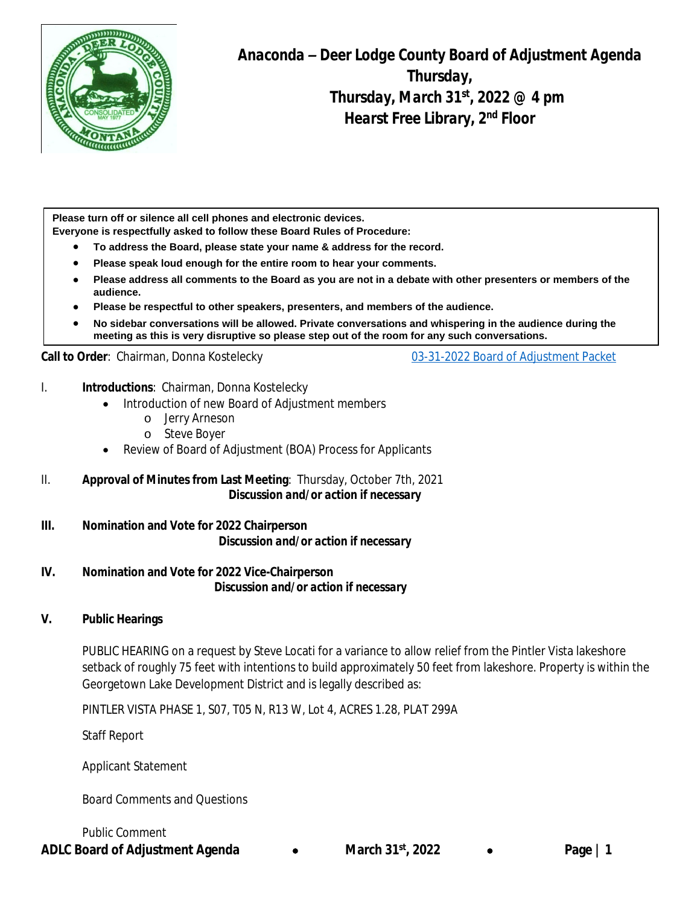

*Anaconda – Deer Lodge County Board of Adjustment Agenda Thursday, Thursday, March 31st, 2022 @ 4 pm Hearst Free Library, 2nd Floor*

*3rd Floor Conference Room*

**Please turn off or silence all cell phones and electronic devices. Everyone is respectfully asked to follow these Board Rules of Procedure:**

- **To address the Board, please state your name & address for the record.**
- **Please speak loud enough for the entire room to hear your comments.**
- **Please address all comments to the Board as you are not in a debate with other presenters or members of the audience.**
- **Please be respectful to other speakers, presenters, and members of the audience.**
- **No sidebar conversations will be allowed. Private conversations and whispering in the audience during the meeting as this is very disruptive so please step out of the room for any such conversations.**

#### Call to Order: Chairman, Donna Kostelecky **[03-31-2022 Board of Adjustment Packet](https://adlc.us/DocumentCenter/View/2765/March-31st-2022-Packet)**

- I. **Introductions**: Chairman, Donna Kostelecky
	- Introduction of new Board of Adjustment members
		- o Jerry Arneson
		- o Steve Boyer
	- Review of Board of Adjustment (BOA) Process for Applicants
- II. **Approval of Minutes from Last Meeting**: Thursday, October 7th, 2021  *Discussion and/or action if necessary*
- **III. Nomination and Vote for 2022 Chairperson** *Discussion and/or action if necessary*
- **IV. Nomination and Vote for 2022 Vice-Chairperson**  *Discussion and/or action if necessary*

### **V. Public Hearings**

PUBLIC HEARING on a request by Steve Locati for a variance to allow relief from the Pintler Vista lakeshore setback of roughly 75 feet with intentions to build approximately 50 feet from lakeshore. Property is within the Georgetown Lake Development District and is legally described as:

PINTLER VISTA PHASE 1, S07, T05 N, R13 W, Lot 4, ACRES 1.28, PLAT 299A

Staff Report

Applicant Statement

Board Comments and Questions

Public Comment

**ADLC Board of Adjustment Agenda** · **March 31st, 2022** · **Page | 1**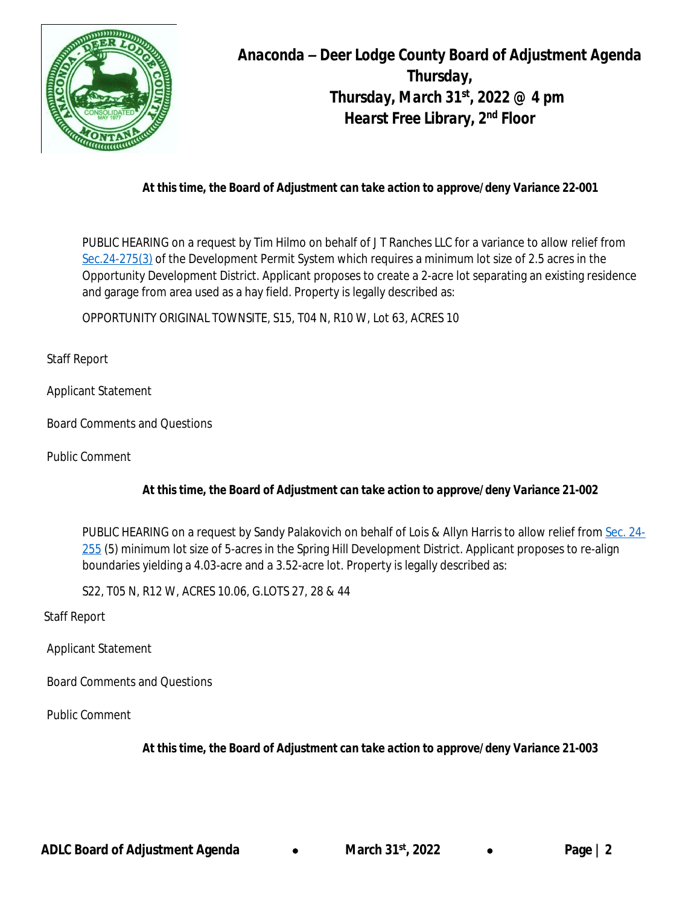

*Anaconda – Deer Lodge County Board of Adjustment Agenda Thursday, Thursday, March 31st, 2022 @ 4 pm Hearst Free Library, 2nd Floor*

## *At this time, the Board of Adjustment can take action to approve/deny Variance 22-001*

PUBLIC HEARING on a request by Tim Hilmo on behalf of J T Ranches LLC for a variance to allow relief from [Sec.24-275\(3\)](https://library.municode.com/mt/anaconda-deer_lodge_county/codes/code_of_ordinances?nodeId=PTIICOOR_CH24DEPESY_ARTXXIVOPDEDIOD_S24-275DEST) of the Development Permit System which requires a minimum lot size of 2.5 acres in the Opportunity Development District. Applicant proposes to create a 2-acre lot separating an existing residence and garage from area used as a hay field. Property is legally described as:

OPPORTUNITY ORIGINAL TOWNSITE, S15, T04 N, R10 W, Lot 63, ACRES 10

Staff Report

Applicant Statement

Board Comments and Questions

Public Comment

## *At this time, the Board of Adjustment can take action to approve/deny Variance 21-002*

PUBLIC HEARING on a request by Sandy Palakovich on behalf of Lois & Allyn Harris to allow relief from [Sec. 24-](https://library.municode.com/mt/anaconda-deer_lodge_county/codes/code_of_ordinances?nodeId=PTIICOOR_CH24DEPESY_ARTXIXSPHIDEDISH_S24-225DEST) 255 (5) minimum lot size of 5-acres in the Spring Hill Development District. Applicant proposes to re-align boundaries yielding a 4.03-acre and a 3.52-acre lot. Property is legally described as:

S22, T05 N, R12 W, ACRES 10.06, G.LOTS 27, 28 & 44

Staff Report

Applicant Statement

Board Comments and Questions

Public Comment

*At this time, the Board of Adjustment can take action to approve/deny Variance 21-003*